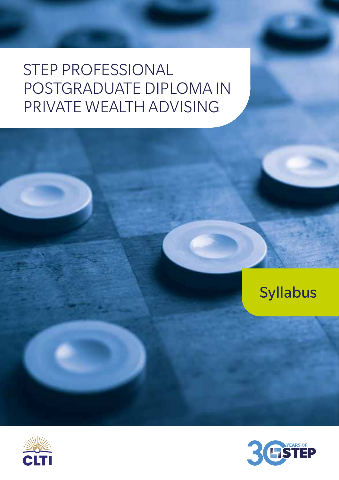# STEP PROFESSIONAL POSTGRADUATE DIPLOMA IN PRIVATE WEALTH ADVISING





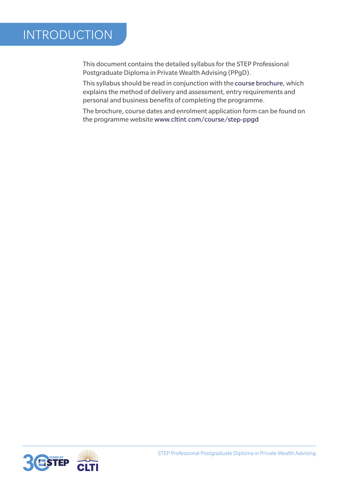## INTRODUCTION

This document contains the detailed syllabus for the STEP Professional Postgraduate Diploma in Private Wealth Advising (PPgD).

This syllabus should be read in conjunction with the course brochure, which explains the method of delivery and assessment, entry requirements and personal and business benefits of completing the programme.

The brochure, course dates and enrolment application form can be found on the programme website www.cltint.com/course/step-ppgd

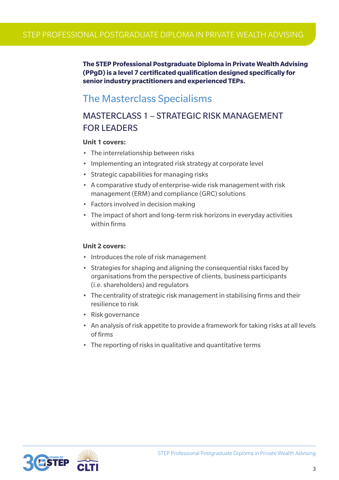**The STEP Professional Postgraduate Diploma in Private Wealth Advising (PPgD) is a level 7 certificated qualification designed specifically for senior industry practitioners and experienced TEPs.** 

## The Masterclass Specialisms

## MASTERCLASS 1 – STRATEGIC RISK MANAGEMENT FOR LEADERS

#### **Unit 1 covers:**

- The interrelationship between risks
- Implementing an integrated risk strategy at corporate level
- Strategic capabilities for managing risks
- A comparative study of enterprise-wide risk management with risk management (ERM) and compliance (GRC) solutions
- Factors involved in decision making
- The impact of short and long-term risk horizons in everyday activities within firms

#### **Unit 2 covers:**

- Introduces the role of risk management
- Strategies for shaping and aligning the consequential risks faced by organisations from the perspective of clients, business participants (i.e. shareholders) and regulators
- The centrality of strategic risk management in stabilising firms and their resilience to risk
- Risk governance
- An analysis of risk appetite to provide a framework for taking risks at all levels of firms
- The reporting of risks in qualitative and quantitative terms

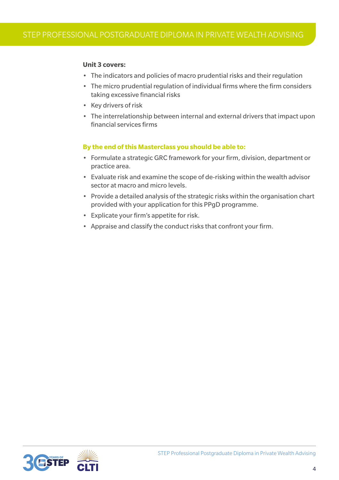#### **Unit 3 covers:**

- The indicators and policies of macro prudential risks and their regulation
- The micro prudential regulation of individual firms where the firm considers taking excessive financial risks
- Key drivers of risk
- The interrelationship between internal and external drivers that impact upon financial services firms

- Formulate a strategic GRC framework for your firm, division, department or practice area.
- Evaluate risk and examine the scope of de-risking within the wealth advisor sector at macro and micro levels.
- Provide a detailed analysis of the strategic risks within the organisation chart provided with your application for this PPgD programme.
- Explicate your firm's appetite for risk.
- Appraise and classify the conduct risks that confront your firm.

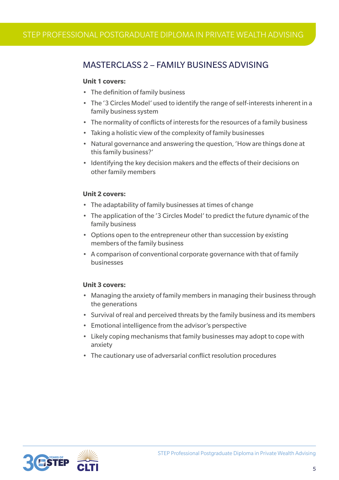## MASTERCLASS 2 – FAMILY BUSINESS ADVISING

#### **Unit 1 covers:**

- The definition of family business
- The '3 Circles Model' used to identify the range of self-interests inherent in a family business system
- The normality of conflicts of interests for the resources of a family business
- Taking a holistic view of the complexity of family businesses
- Natural governance and answering the question, 'How are things done at this family business?'
- Identifying the key decision makers and the effects of their decisions on other family members

#### **Unit 2 covers:**

- The adaptability of family businesses at times of change
- The application of the '3 Circles Model' to predict the future dynamic of the family business
- Options open to the entrepreneur other than succession by existing members of the family business
- A comparison of conventional corporate governance with that of family businesses

#### **Unit 3 covers:**

- Managing the anxiety of family members in managing their business through the generations
- Survival of real and perceived threats by the family business and its members
- Emotional intelligence from the advisor's perspective
- Likely coping mechanisms that family businesses may adopt to cope with anxiety
- The cautionary use of adversarial conflict resolution procedures

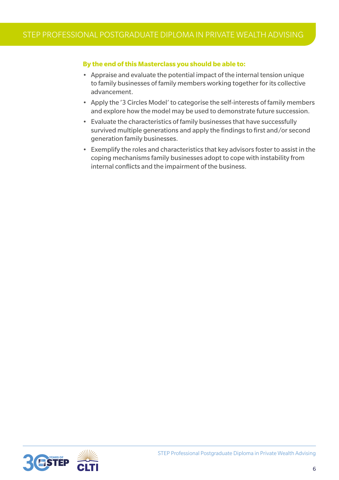- Appraise and evaluate the potential impact of the internal tension unique to family businesses of family members working together for its collective advancement.
- Apply the '3 Circles Model' to categorise the self-interests of family members and explore how the model may be used to demonstrate future succession.
- Evaluate the characteristics of family businesses that have successfully survived multiple generations and apply the findings to first and/or second generation family businesses.
- Exemplify the roles and characteristics that key advisors foster to assist in the coping mechanisms family businesses adopt to cope with instability from internal conflicts and the impairment of the business.

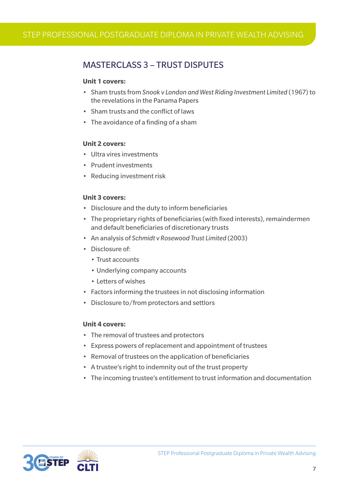## MASTERCLASS 3 – TRUST DISPUTES

#### **Unit 1 covers:**

- Sham trusts from *Snook v London and West Riding Investment Limited* (1967) to the revelations in the Panama Papers
- Sham trusts and the conflict of laws
- The avoidance of a finding of a sham

#### **Unit 2 covers:**

- Illtra vires investments
- Prudent investments
- Reducing investment risk

#### **Unit 3 covers:**

- Disclosure and the duty to inform beneficiaries
- The proprietary rights of beneficiaries (with fixed interests), remaindermen and default beneficiaries of discretionary trusts
- An analysis of *Schmidt v Rosewood Trust Limited* (2003)
- Disclosure of:
	- Trust accounts
	- Underlying company accounts
	- Letters of wishes
- Factors informing the trustees in not disclosing information
- Disclosure to/from protectors and settlors

#### **Unit 4 covers:**

- The removal of trustees and protectors
- Express powers of replacement and appointment of trustees
- Removal of trustees on the application of beneficiaries
- A trustee's right to indemnity out of the trust property
- The incoming trustee's entitlement to trust information and documentation

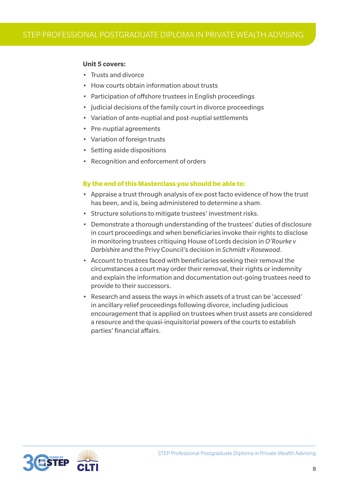#### **Unit 5 covers:**

- Trusts and divorce
- How courts obtain information about trusts
- Participation of offshore trustees in English proceedings
- Judicial decisions of the family court in divorce proceedings
- Variation of ante-nuptial and post-nuptial settlements
- Pre-nuptial agreements
- Variation of foreign trusts
- Setting aside dispositions
- Recognition and enforcement of orders

- Appraise a trust through analysis of ex-post facto evidence of how the trust has been, and is, being administered to determine a sham.
- Structure solutions to mitigate trustees' investment risks.
- Demonstrate a thorough understanding of the trustees' duties of disclosure in court proceedings and when beneficiaries invoke their rights to disclose in monitoring trustees critiquing House of Lords decision in *O'Rourke v Darbishire* and the Privy Council's decision in *Schmidt v Rosewood*.
- Account to trustees faced with beneficiaries seeking their removal the circumstances a court may order their removal, their rights or indemnity and explain the information and documentation out-going trustees need to provide to their successors.
- Research and assess the ways in which assets of a trust can be 'accessed' in ancillary relief proceedings following divorce, including judicious encouragement that is applied on trustees when trust assets are considered a resource and the quasi-inquisitorial powers of the courts to establish parties' financial affairs.

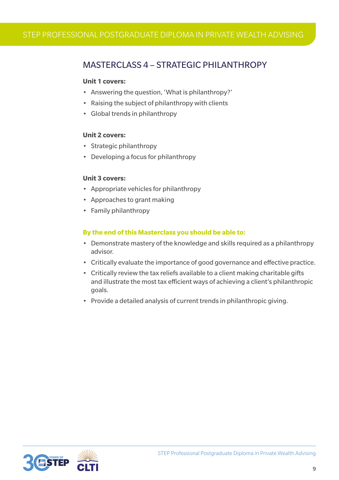### MASTERCLASS 4 – STRATEGIC PHILANTHROPY

#### **Unit 1 covers:**

- Answering the question, 'What is philanthropy?'
- Raising the subject of philanthropy with clients
- Global trends in philanthropy

#### **Unit 2 covers:**

- Strategic philanthropy
- Developing a focus for philanthropy

#### **Unit 3 covers:**

- Appropriate vehicles for philanthropy
- Approaches to grant making
- Family philanthropy

- Demonstrate mastery of the knowledge and skills required as a philanthropy advisor.
- Critically evaluate the importance of good governance and effective practice.
- Critically review the tax reliefs available to a client making charitable gifts and illustrate the most tax efficient ways of achieving a client's philanthropic goals.
- Provide a detailed analysis of current trends in philanthropic giving.

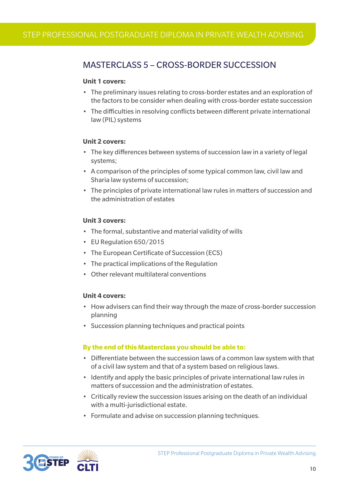## MASTERCLASS 5 – CROSS-BORDER SUCCESSION

#### **Unit 1 covers:**

- The preliminary issues relating to cross-border estates and an exploration of the factors to be consider when dealing with cross-border estate succession
- The difficulties in resolving conflicts between different private international law (PIL) systems

#### **Unit 2 covers:**

- The key differences between systems of succession law in a variety of legal systems;
- A comparison of the principles of some typical common law, civil law and Sharia law systems of succession;
- The principles of private international law rules in matters of succession and the administration of estates

#### **Unit 3 covers:**

- The formal, substantive and material validity of wills
- FU Regulation 650/2015
- The European Certificate of Succession (ECS)
- The practical implications of the Regulation
- Other relevant multilateral conventions

#### **Unit 4 covers:**

- How advisers can find their way through the maze of cross-border succession planning
- Succession planning techniques and practical points

- Differentiate between the succession laws of a common law system with that of a civil law system and that of a system based on religious laws.
- Identify and apply the basic principles of private international law rules in matters of succession and the administration of estates.
- Critically review the succession issues arising on the death of an individual with a multi-jurisdictional estate.
- Formulate and advise on succession planning techniques.

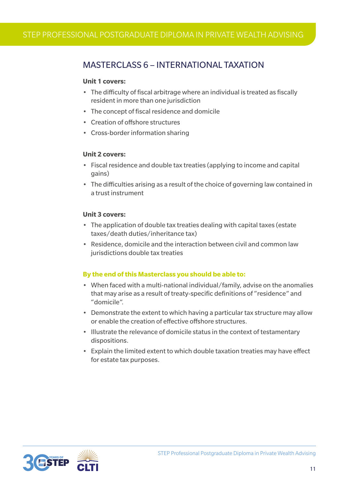### MASTERCLASS 6 – INTERNATIONAL TAXATION

#### **Unit 1 covers:**

- The difficulty of fiscal arbitrage where an individual is treated as fiscally resident in more than one jurisdiction
- The concept of fiscal residence and domicile
- Creation of offshore structures
- Cross-border information sharing

#### **Unit 2 covers:**

- Fiscal residence and double tax treaties (applying to income and capital gains)
- The difficulties arising as a result of the choice of governing law contained in a trust instrument

#### **Unit 3 covers:**

- The application of double tax treaties dealing with capital taxes (estate taxes/death duties/inheritance tax)
- Residence, domicile and the interaction between civil and common law jurisdictions double tax treaties

- When faced with a multi-national individual/family, advise on the anomalies that may arise as a result of treaty-specific definitions of "residence" and "domicile".
- Demonstrate the extent to which having a particular tax structure may allow or enable the creation of effective offshore structures.
- Illustrate the relevance of domicile status in the context of testamentary dispositions.
- Explain the limited extent to which double taxation treaties may have effect for estate tax purposes.

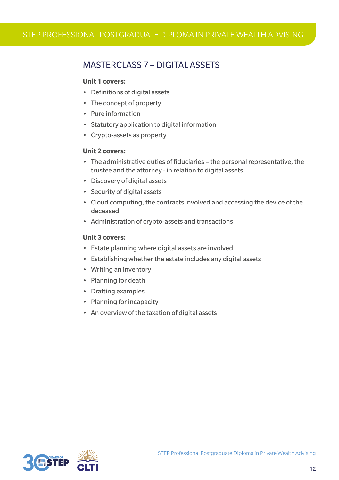## MASTERCLASS 7 – DIGITAL ASSETS

#### **Unit 1 covers:**

- Definitions of digital assets
- The concept of property
- Pure information
- Statutory application to digital information
- Crypto-assets as property

#### **Unit 2 covers:**

- The administrative duties of fiduciaries the personal representative, the trustee and the attorney - in relation to digital assets
- Discovery of digital assets
- Security of digital assets
- Cloud computing, the contracts involved and accessing the device of the deceased
- Administration of crypto-assets and transactions

#### **Unit 3 covers:**

- Estate planning where digital assets are involved
- Establishing whether the estate includes any digital assets
- Writing an inventory
- Planning for death
- Drafting examples
- Planning for incapacity
- An overview of the taxation of digital assets

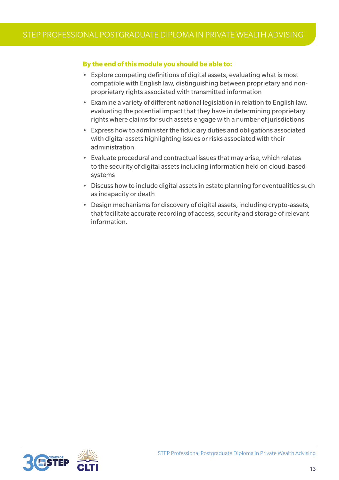#### **By the end of this module you should be able to:**

- Explore competing definitions of digital assets, evaluating what is most compatible with English law, distinguishing between proprietary and nonproprietary rights associated with transmitted information
- Examine a variety of different national legislation in relation to English law, evaluating the potential impact that they have in determining proprietary rights where claims for such assets engage with a number of jurisdictions
- Express how to administer the fiduciary duties and obligations associated with digital assets highlighting issues or risks associated with their administration
- Evaluate procedural and contractual issues that may arise, which relates to the security of digital assets including information held on cloud-based systems
- Discuss how to include digital assets in estate planning for eventualities such as incapacity or death
- Design mechanisms for discovery of digital assets, including crypto-assets, that facilitate accurate recording of access, security and storage of relevant information.

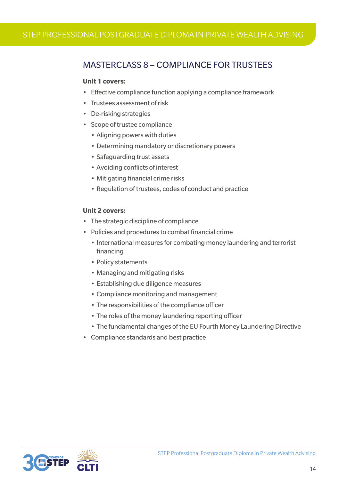## MASTERCLASS 8 – COMPLIANCE FOR TRUSTEES

#### **Unit 1 covers:**

- Effective compliance function applying a compliance framework
- Trustees assessment of risk
- De-risking strategies
- Scope of trustee compliance
	- Aligning powers with duties
	- Determining mandatory or discretionary powers
	- Safeguarding trust assets
	- Avoiding conflicts of interest
	- Mitigating financial crime risks
	- Regulation of trustees, codes of conduct and practice

#### **Unit 2 covers:**

- The strategic discipline of compliance
- Policies and procedures to combat financial crime
	- International measures for combating money laundering and terrorist financing
	- Policy statements
	- Managing and mitigating risks
	- Establishing due diligence measures
	- Compliance monitoring and management
	- The responsibilities of the compliance officer
	- The roles of the money laundering reporting officer
	- The fundamental changes of the EU Fourth Money Laundering Directive
- Compliance standards and best practice

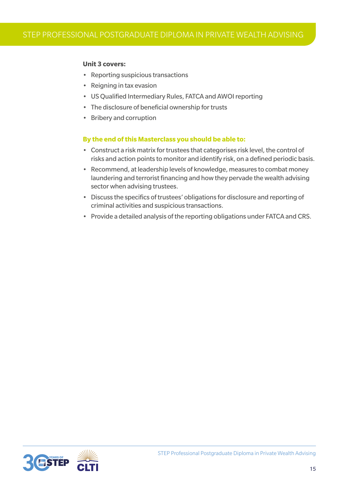#### **Unit 3 covers:**

- Reporting suspicious transactions
- Reigning in tax evasion
- US Qualified Intermediary Rules, FATCA and AWOI reporting
- The disclosure of beneficial ownership for trusts
- Bribery and corruption

- Construct a risk matrix for trustees that categorises risk level, the control of risks and action points to monitor and identify risk, on a defined periodic basis.
- Recommend, at leadership levels of knowledge, measures to combat money laundering and terrorist financing and how they pervade the wealth advising sector when advising trustees.
- Discuss the specifics of trustees' obligations for disclosure and reporting of criminal activities and suspicious transactions.
- Provide a detailed analysis of the reporting obligations under FATCA and CRS.

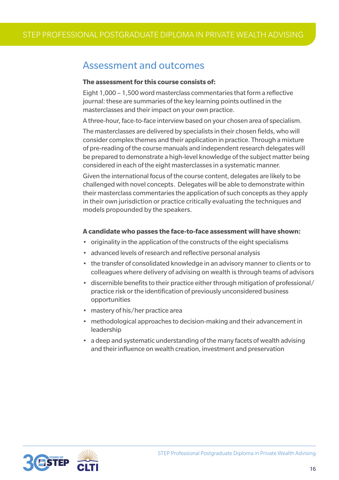## Assessment and outcomes

#### **The assessment for this course consists of:**

Eight 1,000 – 1,500 word masterclass commentaries that form a reflective journal: these are summaries of the key learning points outlined in the masterclasses and their impact on your own practice.

A three-hour, face-to-face interview based on your chosen area of specialism.

The masterclasses are delivered by specialists in their chosen fields, who will consider complex themes and their application in practice. Through a mixture of pre-reading of the course manuals and independent research delegates will be prepared to demonstrate a high-level knowledge of the subject matter being considered in each of the eight masterclasses in a systematic manner.

Given the international focus of the course content, delegates are likely to be challenged with novel concepts. Delegates will be able to demonstrate within their masterclass commentaries the application of such concepts as they apply in their own jurisdiction or practice critically evaluating the techniques and models propounded by the speakers.

#### **A candidate who passes the face-to-face assessment will have shown:**

- originality in the application of the constructs of the eight specialisms
- advanced levels of research and reflective personal analysis
- the transfer of consolidated knowledge in an advisory manner to clients or to colleagues where delivery of advising on wealth is through teams of advisors
- discernible benefits to their practice either through mitigation of professional/ practice risk or the identification of previously unconsidered business opportunities
- mastery of his/her practice area
- methodological approaches to decision-making and their advancement in leadership
- a deep and systematic understanding of the many facets of wealth advising and their influence on wealth creation, investment and preservation